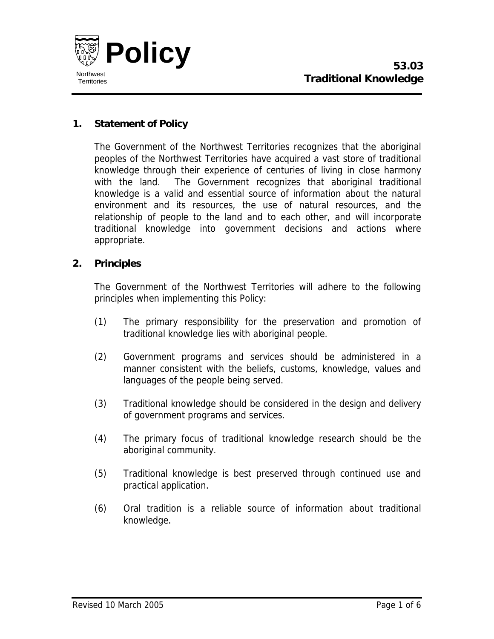

# **1. Statement of Policy**

The Government of the Northwest Territories recognizes that the aboriginal peoples of the Northwest Territories have acquired a vast store of traditional knowledge through their experience of centuries of living in close harmony with the land. The Government recognizes that aboriginal traditional knowledge is a valid and essential source of information about the natural environment and its resources, the use of natural resources, and the relationship of people to the land and to each other, and will incorporate traditional knowledge into government decisions and actions where appropriate.

#### **2. Principles**

The Government of the Northwest Territories will adhere to the following principles when implementing this Policy:

- (1) The primary responsibility for the preservation and promotion of traditional knowledge lies with aboriginal people.
- (2) Government programs and services should be administered in a manner consistent with the beliefs, customs, knowledge, values and languages of the people being served.
- (3) Traditional knowledge should be considered in the design and delivery of government programs and services.
- (4) The primary focus of traditional knowledge research should be the aboriginal community.
- (5) Traditional knowledge is best preserved through continued use and practical application.
- (6) Oral tradition is a reliable source of information about traditional knowledge.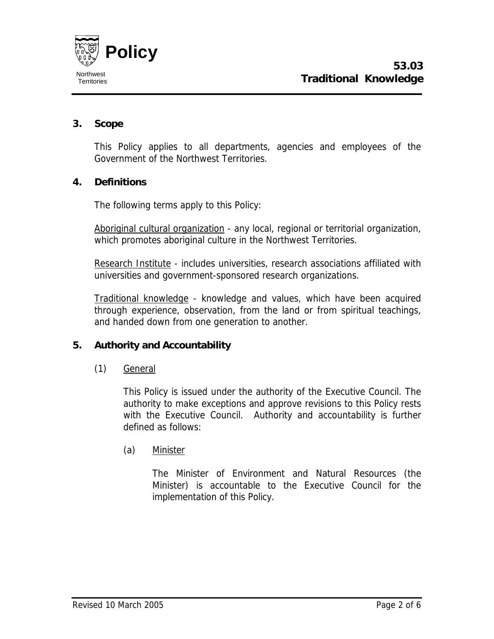

# **3. Scope**

This Policy applies to all departments, agencies and employees of the Government of the Northwest Territories.

### **4. Definitions**

The following terms apply to this Policy:

Aboriginal cultural organization - any local, regional or territorial organization, which promotes aboriginal culture in the Northwest Territories.

Research Institute - includes universities, research associations affiliated with universities and government-sponsored research organizations.

Traditional knowledge - knowledge and values, which have been acquired through experience, observation, from the land or from spiritual teachings, and handed down from one generation to another.

### **5. Authority and Accountability**

(1) General

This Policy is issued under the authority of the Executive Council. The authority to make exceptions and approve revisions to this Policy rests with the Executive Council. Authority and accountability is further defined as follows:

(a) Minister

The Minister of Environment and Natural Resources (the Minister) is accountable to the Executive Council for the implementation of this Policy.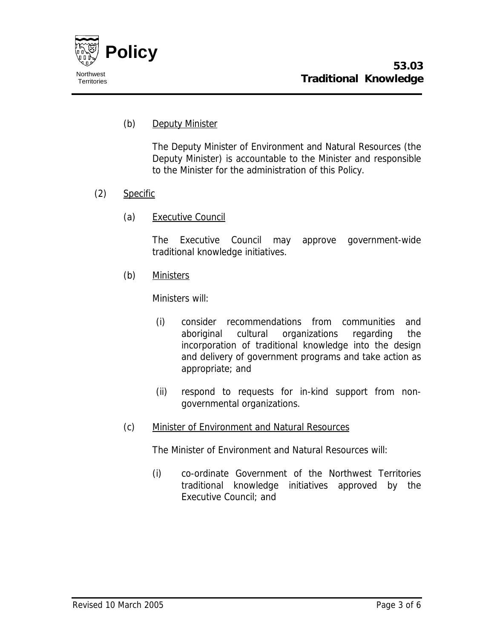

## (b) Deputy Minister

The Deputy Minister of Environment and Natural Resources (the Deputy Minister) is accountable to the Minister and responsible to the Minister for the administration of this Policy.

### (2) Specific

(a) Executive Council

The Executive Council may approve government-wide traditional knowledge initiatives.

(b) Ministers

Ministers will:

- (i) consider recommendations from communities and aboriginal cultural organizations regarding the incorporation of traditional knowledge into the design and delivery of government programs and take action as appropriate; and
- (ii) respond to requests for in-kind support from nongovernmental organizations.
- (c) Minister of Environment and Natural Resources

The Minister of Environment and Natural Resources will:

(i) co-ordinate Government of the Northwest Territories traditional knowledge initiatives approved by the Executive Council; and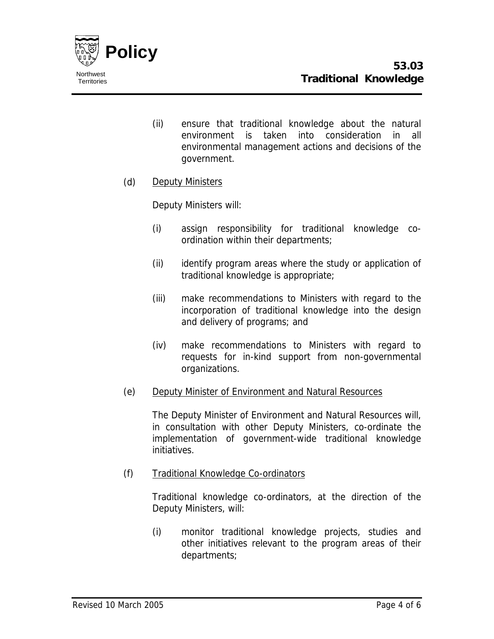

- (ii) ensure that traditional knowledge about the natural environment is taken into consideration in all environmental management actions and decisions of the government.
- (d) Deputy Ministers

Deputy Ministers will:

- (i) assign responsibility for traditional knowledge coordination within their departments;
- (ii) identify program areas where the study or application of traditional knowledge is appropriate;
- (iii) make recommendations to Ministers with regard to the incorporation of traditional knowledge into the design and delivery of programs; and
- (iv) make recommendations to Ministers with regard to requests for in-kind support from non-governmental organizations.
- (e) Deputy Minister of Environment and Natural Resources

The Deputy Minister of Environment and Natural Resources will, in consultation with other Deputy Ministers, co-ordinate the implementation of government-wide traditional knowledge initiatives.

(f) Traditional Knowledge Co-ordinators

Traditional knowledge co-ordinators, at the direction of the Deputy Ministers, will:

(i) monitor traditional knowledge projects, studies and other initiatives relevant to the program areas of their departments;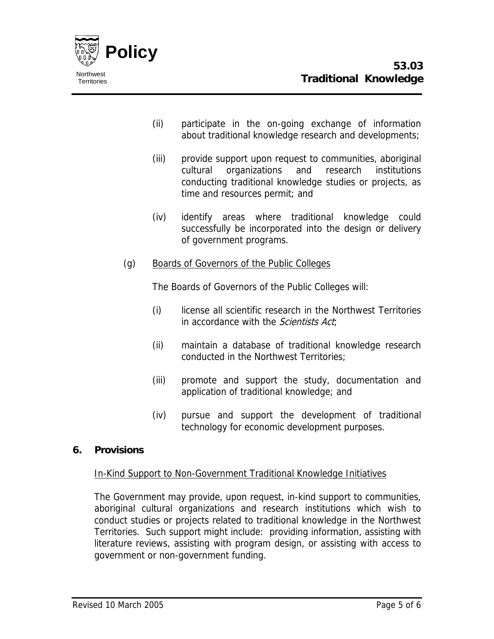

- (ii) participate in the on-going exchange of information about traditional knowledge research and developments;
- (iii) provide support upon request to communities, aboriginal cultural organizations and research institutions conducting traditional knowledge studies or projects, as time and resources permit; and
- (iv) identify areas where traditional knowledge could successfully be incorporated into the design or delivery of government programs.
- (g) Boards of Governors of the Public Colleges

The Boards of Governors of the Public Colleges will:

- (i) license all scientific research in the Northwest Territories in accordance with the *Scientists Act*;
- (ii) maintain a database of traditional knowledge research conducted in the Northwest Territories;
- (iii) promote and support the study, documentation and application of traditional knowledge; and
- (iv) pursue and support the development of traditional technology for economic development purposes.

# **6. Provisions**

### In-Kind Support to Non-Government Traditional Knowledge Initiatives

The Government may provide, upon request, in-kind support to communities, aboriginal cultural organizations and research institutions which wish to conduct studies or projects related to traditional knowledge in the Northwest Territories. Such support might include: providing information, assisting with literature reviews, assisting with program design, or assisting with access to government or non-government funding.